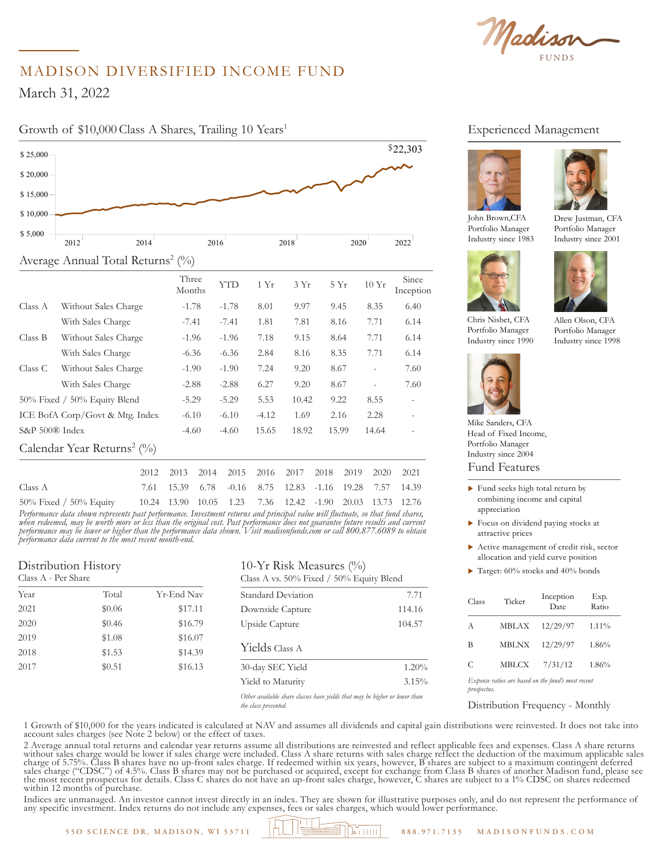Madison

# MADISON DIVERSIFIED INCOME FUND

March 31, 2022

\$ 20,000

## Growth of \$10,000 Class A Shares, Trailing 10 Years<sup>1</sup>



|                                                                                  |  |  | 2012 2013 2014 2015 2016 2017 2018 2019 2020 2021       |  |  |
|----------------------------------------------------------------------------------|--|--|---------------------------------------------------------|--|--|
| Class A                                                                          |  |  | 7.61 15.39 6.78 -0.16 8.75 12.83 -1.16 19.28 7.57 14.39 |  |  |
| 50% Fixed / 50% Equity 10.24 13.90 10.05 1.23 7.36 12.42 -1.90 20.03 13.73 12.76 |  |  |                                                         |  |  |

*Performance data shown represents past performance. Investment returns and principal value will fluctuate, so that fund shares, when redeemed, may be worth more or less than the original cost. Past performance does not guarantee future results and current performance may be lower or higher than the performance data shown. Visit madisonfunds.com or call 800.877.6089 to obtain performance data current to the most recent month-end.*

#### Distribution History Class A - Per Share Year Total Yr-End Nav 2021 \$0.06 \$17.11 2020 \$0.46 \$16.79 2019 \$1.08 \$16.07 2018 \$1.53 \$14.39 2017 \$0.51 \$16.13 10-Yr Risk Measures (%) Class A vs. 50% Fixed / 50% Equity Blend Standard Deviation 7.71 Downside Capture 114.16 Upside Capture 104.57 Yields Class A 30-day SEC Yield 1.20% Yield to Maturity 3.15%

*Other available share classes have yields that may be higher or lower than the class presented.* 

#### Experienced Management





Portfolio Manager Industry since 2001

Allen Olson, CFA Portfolio Manager Industry since 1998

John Brown,CFA Portfolio Manager Industry since 1983



Chris Nisbet, CFA Portfolio Manager Industry since 1990



Mike Sanders, CFA

Fund Features Head of Fixed Income, Portfolio Manager Industry since 2004

- $\blacktriangleright$  Fund seeks high total return by combining income and capital appreciation
- $\blacktriangleright$  Focus on dividend paying stocks at attractive prices
- $\blacktriangleright$  Active management of credit risk, sector allocation and yield curve position
- $\blacktriangleright$  Target: 60% stocks and 40% bonds

| Class                                                             | Ticker       | Inception<br>Date | Exp.<br>Ratio |  |
|-------------------------------------------------------------------|--------------|-------------------|---------------|--|
| A                                                                 | <b>MBLAX</b> | 12/29/97          | 1.11%         |  |
| В                                                                 | <b>MBLNX</b> | 12/29/97          | 1.86%         |  |
| C                                                                 | MBLCX        | 7/31/12           | 1.86%         |  |
| Expense ratios are based on the fund's most recent<br>prospectus. |              |                   |               |  |

Distribution Frequency - Monthly

1 Growth of \$10,000 for the years indicated is calculated at NAV and assumes all dividends and capital gain distributions were reinvested. It does not take into account sales charges (see Note 2 below) or the effect of taxes.

2 Average annual total returns and calendar year returns assume all distributions are reinvested and reflect applicable fees and expenses. Class A share returns without sales charge would be lower if sales charge were included. Class A share returns with sales charge reflect the deduction of the maximum applicable sales charge of 5.75%. Class B shares have no up-front sales charge. If redeemed within six years, however, B shares are subject to a maximum contingent deferred sales charge ("CDSC") of 4.5%. Class B shares may not be purchased or acquired, except for exchange from Class B shares of another Madison fund, please see the most recent prospectus for details. Class C shares do not have an up-front sales charge, however, C shares are subject to a 1% CDSC on shares redeemed within 12 months of purchase.

Indices are unmanaged. An investor cannot invest directly in an index. They are shown for illustrative purposes only, and do not represent the performance of any specific investment. Index returns do not include any expenses, fees or sales charges, which would lower performance.